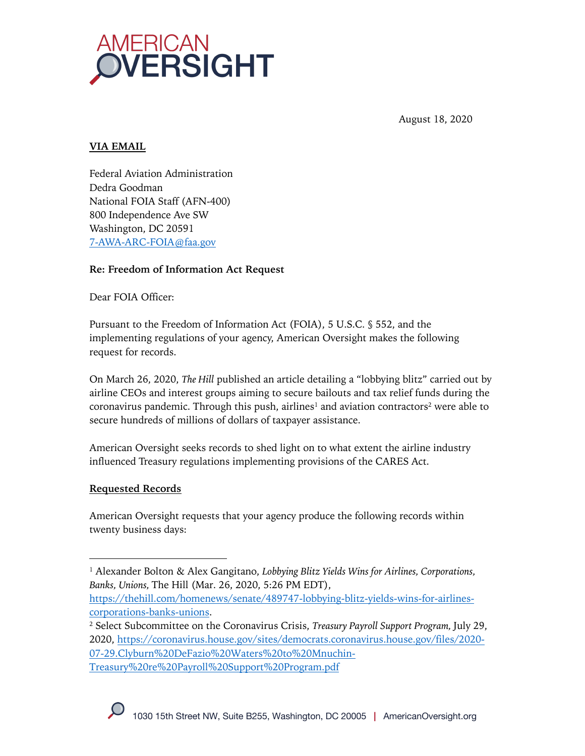

August 18, 2020

# **VIA EMAIL**

Federal Aviation Administration Dedra Goodman National FOIA Staff (AFN-400) 800 Independence Ave SW Washington, DC 20591 7-AWA-ARC-FOIA@faa.gov

### **Re: Freedom of Information Act Request**

Dear FOIA Officer:

Pursuant to the Freedom of Information Act (FOIA), 5 U.S.C. § 552, and the implementing regulations of your agency, American Oversight makes the following request for records.

On March 26, 2020, *The Hill* published an article detailing a "lobbying blitz" carried out by airline CEOs and interest groups aiming to secure bailouts and tax relief funds during the coronavirus pandemic. Through this push, airlines<sup>1</sup> and aviation contractors<sup>2</sup> were able to secure hundreds of millions of dollars of taxpayer assistance.

American Oversight seeks records to shed light on to what extent the airline industry influenced Treasury regulations implementing provisions of the CARES Act.

## **Requested Records**

American Oversight requests that your agency produce the following records within twenty business days:

<sup>1</sup> Alexander Bolton & Alex Gangitano, *Lobbying Blitz Yields Wins for Airlines, Corporations, Banks, Unions,* The Hill (Mar. 26, 2020, 5:26 PM EDT),

https://thehill.com/homenews/senate/489747-lobbying-blitz-yields-wins-for-airlinescorporations-banks-unions.

<sup>2</sup> Select Subcommittee on the Coronavirus Crisis, *Treasury Payroll Support Program,* July 29, 2020, https://coronavirus.house.gov/sites/democrats.coronavirus.house.gov/files/2020- 07-29.Clyburn%20DeFazio%20Waters%20to%20Mnuchin-

Treasury%20re%20Payroll%20Support%20Program.pdf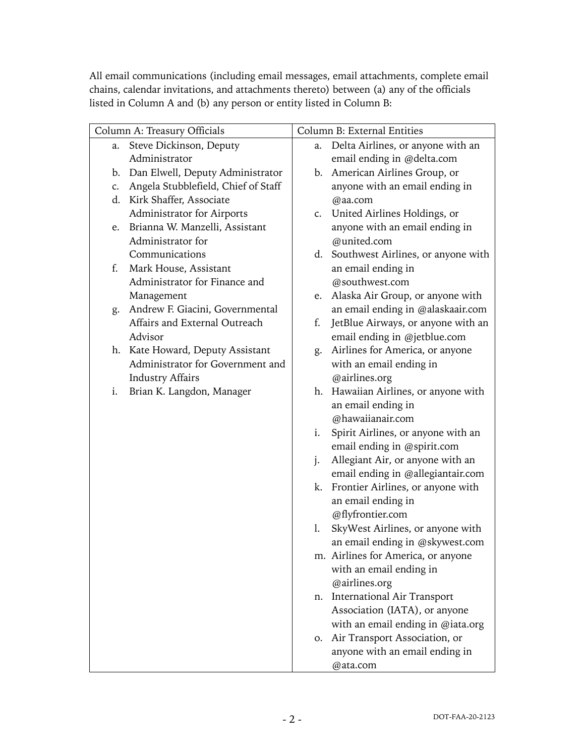All email communications (including email messages, email attachments, complete email chains, calendar invitations, and attachments thereto) between (a) any of the officials listed in Column A and (b) any person or entity listed in Column B:

| Column A: Treasury Officials |                                     | Column B: External Entities |                                    |
|------------------------------|-------------------------------------|-----------------------------|------------------------------------|
|                              | a. Steve Dickinson, Deputy          | a.                          | Delta Airlines, or anyone with an  |
|                              | Administrator                       |                             | email ending in @delta.com         |
| b.                           | Dan Elwell, Deputy Administrator    | b.                          | American Airlines Group, or        |
| c.                           | Angela Stubblefield, Chief of Staff |                             | anyone with an email ending in     |
|                              | d. Kirk Shaffer, Associate          |                             | @aa.com                            |
|                              | Administrator for Airports          | C.                          | United Airlines Holdings, or       |
| e.                           | Brianna W. Manzelli, Assistant      |                             | anyone with an email ending in     |
|                              | Administrator for                   |                             | @united.com                        |
|                              | Communications                      | d.                          | Southwest Airlines, or anyone with |
| f.                           | Mark House, Assistant               |                             | an email ending in                 |
|                              | Administrator for Finance and       |                             | @southwest.com                     |
|                              | Management                          | e.                          | Alaska Air Group, or anyone with   |
| g.                           | Andrew F. Giacini, Governmental     |                             | an email ending in @alaskaair.com  |
|                              | Affairs and External Outreach       | f.                          | JetBlue Airways, or anyone with an |
|                              | Advisor                             |                             | email ending in @jetblue.com       |
|                              | h. Kate Howard, Deputy Assistant    | g.                          | Airlines for America, or anyone    |
|                              | Administrator for Government and    |                             | with an email ending in            |
|                              | <b>Industry Affairs</b>             |                             | @airlines.org                      |
| i.                           | Brian K. Langdon, Manager           | h.                          | Hawaiian Airlines, or anyone with  |
|                              |                                     |                             | an email ending in                 |
|                              |                                     |                             | @hawaiianair.com                   |
|                              |                                     | i.                          | Spirit Airlines, or anyone with an |
|                              |                                     |                             | email ending in @spirit.com        |
|                              |                                     | j.                          | Allegiant Air, or anyone with an   |
|                              |                                     |                             | email ending in @allegiantair.com  |
|                              |                                     | k.                          | Frontier Airlines, or anyone with  |
|                              |                                     |                             | an email ending in                 |
|                              |                                     |                             | @flyfrontier.com                   |
|                              |                                     | 1.                          | SkyWest Airlines, or anyone with   |
|                              |                                     |                             | an email ending in @skywest.com    |
|                              |                                     |                             | m. Airlines for America, or anyone |
|                              |                                     |                             | with an email ending in            |
|                              |                                     |                             | @airlines.org                      |
|                              |                                     | n.                          | <b>International Air Transport</b> |
|                              |                                     |                             | Association (IATA), or anyone      |
|                              |                                     |                             | with an email ending in @iata.org  |
|                              |                                     | 0.                          | Air Transport Association, or      |
|                              |                                     |                             | anyone with an email ending in     |
|                              |                                     |                             | @ata.com                           |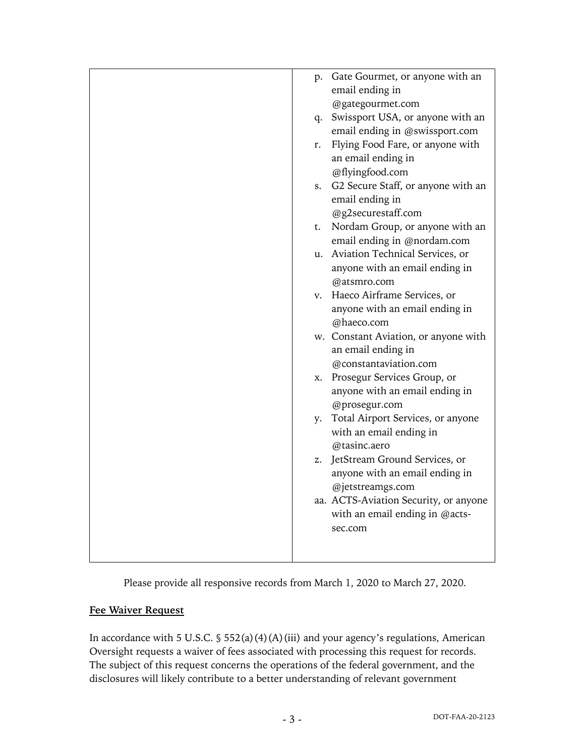| p.<br>q.<br>r.<br>S.<br>t. | Gate Gourmet, or anyone with an<br>email ending in<br>@gategourmet.com<br>Swissport USA, or anyone with an<br>email ending in @swissport.com<br>Flying Food Fare, or anyone with<br>an email ending in<br>@flyingfood.com<br>G2 Secure Staff, or anyone with an<br>email ending in<br>@g2securestaff.com<br>Nordam Group, or anyone with an<br>email ending in @nordam.com |
|----------------------------|----------------------------------------------------------------------------------------------------------------------------------------------------------------------------------------------------------------------------------------------------------------------------------------------------------------------------------------------------------------------------|
|                            | u. Aviation Technical Services, or<br>anyone with an email ending in                                                                                                                                                                                                                                                                                                       |
|                            | @atsmro.com                                                                                                                                                                                                                                                                                                                                                                |
|                            | v. Haeco Airframe Services, or                                                                                                                                                                                                                                                                                                                                             |
|                            | anyone with an email ending in                                                                                                                                                                                                                                                                                                                                             |
|                            | @haeco.com                                                                                                                                                                                                                                                                                                                                                                 |
|                            | w. Constant Aviation, or anyone with                                                                                                                                                                                                                                                                                                                                       |
|                            | an email ending in                                                                                                                                                                                                                                                                                                                                                         |
|                            | @constantaviation.com                                                                                                                                                                                                                                                                                                                                                      |
| X.                         | Prosegur Services Group, or                                                                                                                                                                                                                                                                                                                                                |
|                            | anyone with an email ending in<br>@prosegur.com                                                                                                                                                                                                                                                                                                                            |
| y.                         | Total Airport Services, or anyone                                                                                                                                                                                                                                                                                                                                          |
|                            | with an email ending in<br>@tasinc.aero                                                                                                                                                                                                                                                                                                                                    |
| z.                         | JetStream Ground Services, or                                                                                                                                                                                                                                                                                                                                              |
|                            | anyone with an email ending in                                                                                                                                                                                                                                                                                                                                             |
|                            | @jetstreamgs.com<br>aa. ACTS-Aviation Security, or anyone                                                                                                                                                                                                                                                                                                                  |
|                            | with an email ending in @acts-                                                                                                                                                                                                                                                                                                                                             |
|                            | sec.com                                                                                                                                                                                                                                                                                                                                                                    |
|                            |                                                                                                                                                                                                                                                                                                                                                                            |
|                            |                                                                                                                                                                                                                                                                                                                                                                            |
|                            |                                                                                                                                                                                                                                                                                                                                                                            |

Please provide all responsive records from March 1, 2020 to March 27, 2020.

## **Fee Waiver Request**

In accordance with 5 U.S.C.  $\frac{1}{5}$  552(a)(4)(A)(iii) and your agency's regulations, American Oversight requests a waiver of fees associated with processing this request for records. The subject of this request concerns the operations of the federal government, and the disclosures will likely contribute to a better understanding of relevant government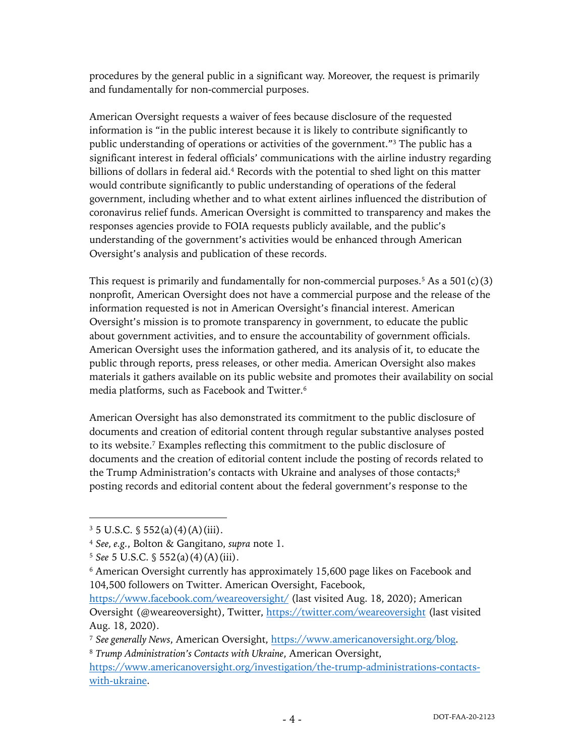procedures by the general public in a significant way. Moreover, the request is primarily and fundamentally for non-commercial purposes.

American Oversight requests a waiver of fees because disclosure of the requested information is "in the public interest because it is likely to contribute significantly to public understanding of operations or activities of the government."3 The public has a significant interest in federal officials' communications with the airline industry regarding billions of dollars in federal aid. <sup>4</sup> Records with the potential to shed light on this matter would contribute significantly to public understanding of operations of the federal government, including whether and to what extent airlines influenced the distribution of coronavirus relief funds. American Oversight is committed to transparency and makes the responses agencies provide to FOIA requests publicly available, and the public's understanding of the government's activities would be enhanced through American Oversight's analysis and publication of these records.

This request is primarily and fundamentally for non-commercial purposes.<sup>5</sup> As a  $501(c)(3)$ nonprofit, American Oversight does not have a commercial purpose and the release of the information requested is not in American Oversight's financial interest. American Oversight's mission is to promote transparency in government, to educate the public about government activities, and to ensure the accountability of government officials. American Oversight uses the information gathered, and its analysis of it, to educate the public through reports, press releases, or other media. American Oversight also makes materials it gathers available on its public website and promotes their availability on social media platforms, such as Facebook and Twitter.6

American Oversight has also demonstrated its commitment to the public disclosure of documents and creation of editorial content through regular substantive analyses posted to its website.7 Examples reflecting this commitment to the public disclosure of documents and the creation of editorial content include the posting of records related to the Trump Administration's contacts with Ukraine and analyses of those contacts;<sup>8</sup> posting records and editorial content about the federal government's response to the

 $3 \frac{3}{5}$  U.S.C.  $\frac{5}{5}$  552(a)(4)(A)(iii).

<sup>4</sup> *See, e.g.*, Bolton & Gangitano, *supra* note 1.

<sup>5</sup> *See* 5 U.S.C. § 552(a)(4)(A)(iii).

<sup>6</sup> American Oversight currently has approximately 15,600 page likes on Facebook and 104,500 followers on Twitter. American Oversight, Facebook,

https://www.facebook.com/weareoversight/ (last visited Aug. 18, 2020); American Oversight (@weareoversight), Twitter, https://twitter.com/weareoversight (last visited Aug. 18, 2020).

<sup>7</sup> *See generally News*, American Oversight, https://www.americanoversight.org/blog.

<sup>8</sup> *Trump Administration's Contacts with Ukraine*, American Oversight, https://www.americanoversight.org/investigation/the-trump-administrations-contactswith-ukraine.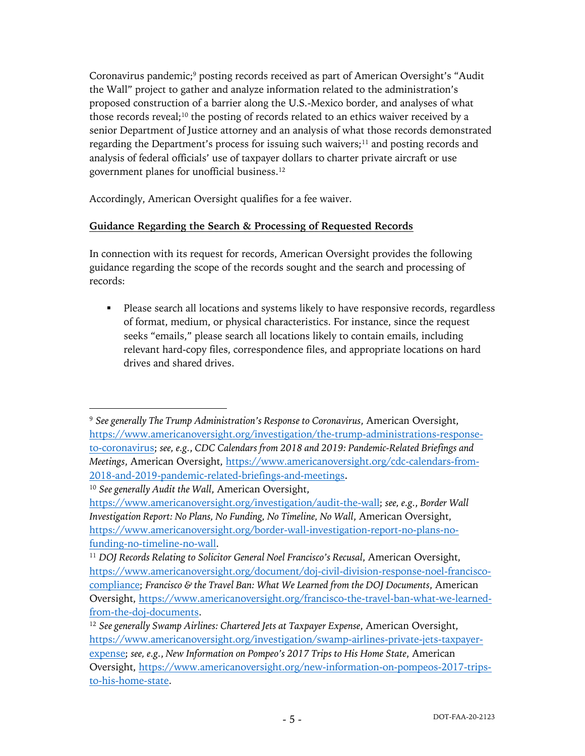Coronavirus pandemic;<sup>9</sup> posting records received as part of American Oversight's "Audit the Wall" project to gather and analyze information related to the administration's proposed construction of a barrier along the U.S.-Mexico border, and analyses of what those records reveal;<sup>10</sup> the posting of records related to an ethics waiver received by a senior Department of Justice attorney and an analysis of what those records demonstrated regarding the Department's process for issuing such waivers;<sup>11</sup> and posting records and analysis of federal officials' use of taxpayer dollars to charter private aircraft or use government planes for unofficial business. 12

Accordingly, American Oversight qualifies for a fee waiver.

## **Guidance Regarding the Search & Processing of Requested Records**

In connection with its request for records, American Oversight provides the following guidance regarding the scope of the records sought and the search and processing of records:

• Please search all locations and systems likely to have responsive records, regardless of format, medium, or physical characteristics. For instance, since the request seeks "emails," please search all locations likely to contain emails, including relevant hard-copy files, correspondence files, and appropriate locations on hard drives and shared drives.

<sup>9</sup> *See generally The Trump Administration's Response to Coronavirus*, American Oversight, https://www.americanoversight.org/investigation/the-trump-administrations-responseto-coronavirus; *see, e.g.*, *CDC Calendars from 2018 and 2019: Pandemic-Related Briefings and Meetings*, American Oversight, https://www.americanoversight.org/cdc-calendars-from-2018-and-2019-pandemic-related-briefings-and-meetings.

<sup>10</sup> *See generally Audit the Wall*, American Oversight,

https://www.americanoversight.org/investigation/audit-the-wall; *see, e.g.*, *Border Wall Investigation Report: No Plans, No Funding, No Timeline, No Wall*, American Oversight, https://www.americanoversight.org/border-wall-investigation-report-no-plans-nofunding-no-timeline-no-wall.

<sup>&</sup>lt;sup>11</sup> DOJ Records Relating to Solicitor General Noel Francisco's Recusal, American Oversight, https://www.americanoversight.org/document/doj-civil-division-response-noel-franciscocompliance; *Francisco & the Travel Ban: What We Learned from the DOJ Documents*, American Oversight, https://www.americanoversight.org/francisco-the-travel-ban-what-we-learnedfrom-the-doj-documents.

<sup>12</sup> *See generally Swamp Airlines: Chartered Jets at Taxpayer Expense*, American Oversight, https://www.americanoversight.org/investigation/swamp-airlines-private-jets-taxpayerexpense; *see, e.g.*, *New Information on Pompeo's 2017 Trips to His Home State*, American Oversight, https://www.americanoversight.org/new-information-on-pompeos-2017-tripsto-his-home-state.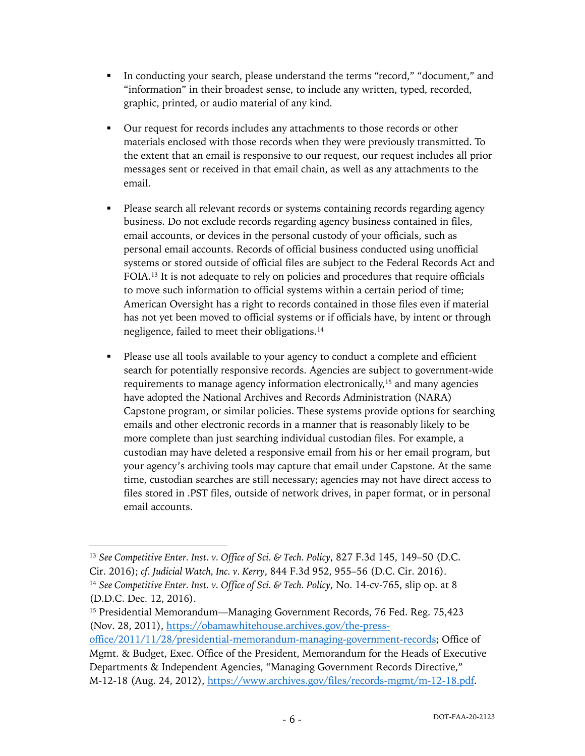- In conducting your search, please understand the terms "record," "document," and "information" in their broadest sense, to include any written, typed, recorded, graphic, printed, or audio material of any kind.
- § Our request for records includes any attachments to those records or other materials enclosed with those records when they were previously transmitted. To the extent that an email is responsive to our request, our request includes all prior messages sent or received in that email chain, as well as any attachments to the email.
- Please search all relevant records or systems containing records regarding agency business. Do not exclude records regarding agency business contained in files, email accounts, or devices in the personal custody of your officials, such as personal email accounts. Records of official business conducted using unofficial systems or stored outside of official files are subject to the Federal Records Act and FOIA.13 It is not adequate to rely on policies and procedures that require officials to move such information to official systems within a certain period of time; American Oversight has a right to records contained in those files even if material has not yet been moved to official systems or if officials have, by intent or through negligence, failed to meet their obligations.14
- Please use all tools available to your agency to conduct a complete and efficient search for potentially responsive records. Agencies are subject to government-wide requirements to manage agency information electronically,<sup>15</sup> and many agencies have adopted the National Archives and Records Administration (NARA) Capstone program, or similar policies. These systems provide options for searching emails and other electronic records in a manner that is reasonably likely to be more complete than just searching individual custodian files. For example, a custodian may have deleted a responsive email from his or her email program, but your agency's archiving tools may capture that email under Capstone. At the same time, custodian searches are still necessary; agencies may not have direct access to files stored in .PST files, outside of network drives, in paper format, or in personal email accounts.

<sup>13</sup> *See Competitive Enter. Inst. v. Office of Sci. & Tech. Policy*, 827 F.3d 145, 149–50 (D.C. Cir. 2016); *cf. Judicial Watch, Inc. v. Kerry*, 844 F.3d 952, 955–56 (D.C. Cir. 2016). <sup>14</sup> *See Competitive Enter. Inst. v. Office of Sci. & Tech. Policy*, No. 14-cv-765, slip op. at 8 (D.D.C. Dec. 12, 2016).

<sup>&</sup>lt;sup>15</sup> Presidential Memorandum—Managing Government Records, 76 Fed. Reg. 75,423 (Nov. 28, 2011), https://obamawhitehouse.archives.gov/the-press-

office/2011/11/28/presidential-memorandum-managing-government-records; Office of Mgmt. & Budget, Exec. Office of the President, Memorandum for the Heads of Executive Departments & Independent Agencies, "Managing Government Records Directive," M-12-18 (Aug. 24, 2012), https://www.archives.gov/files/records-mgmt/m-12-18.pdf.